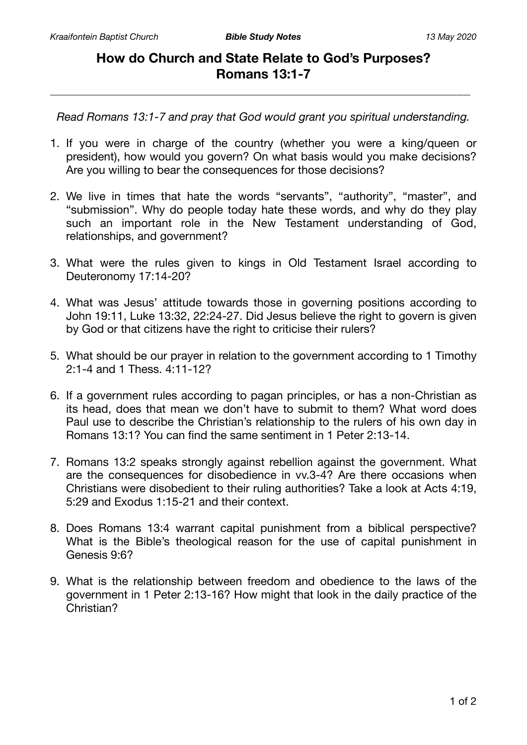## **How do Church and State Relate to God's Purposes? Romans 13:1-7**

\_\_\_\_\_\_\_\_\_\_\_\_\_\_\_\_\_\_\_\_\_\_\_\_\_\_\_\_\_\_\_\_\_\_\_\_\_\_\_\_\_\_\_\_\_\_\_\_\_\_\_\_\_\_\_\_\_\_\_\_\_

*Read Romans 13:1-7 and pray that God would grant you spiritual understanding.* 

- 1. If you were in charge of the country (whether you were a king/queen or president), how would you govern? On what basis would you make decisions? Are you willing to bear the consequences for those decisions?
- 2. We live in times that hate the words "servants", "authority", "master", and "submission". Why do people today hate these words, and why do they play such an important role in the New Testament understanding of God, relationships, and government?
- 3. What were the rules given to kings in Old Testament Israel according to Deuteronomy 17:14-20?
- 4. What was Jesus' attitude towards those in governing positions according to John 19:11, Luke 13:32, 22:24-27. Did Jesus believe the right to govern is given by God or that citizens have the right to criticise their rulers?
- 5. What should be our prayer in relation to the government according to 1 Timothy 2:1-4 and 1 Thess. 4:11-12?
- 6. If a government rules according to pagan principles, or has a non-Christian as its head, does that mean we don't have to submit to them? What word does Paul use to describe the Christian's relationship to the rulers of his own day in Romans 13:1? You can find the same sentiment in 1 Peter 2:13-14.
- 7. Romans 13:2 speaks strongly against rebellion against the government. What are the consequences for disobedience in vv.3-4? Are there occasions when Christians were disobedient to their ruling authorities? Take a look at Acts 4:19, 5:29 and Exodus 1:15-21 and their context.
- 8. Does Romans 13:4 warrant capital punishment from a biblical perspective? What is the Bible's theological reason for the use of capital punishment in Genesis 9:6?
- 9. What is the relationship between freedom and obedience to the laws of the government in 1 Peter 2:13-16? How might that look in the daily practice of the Christian?